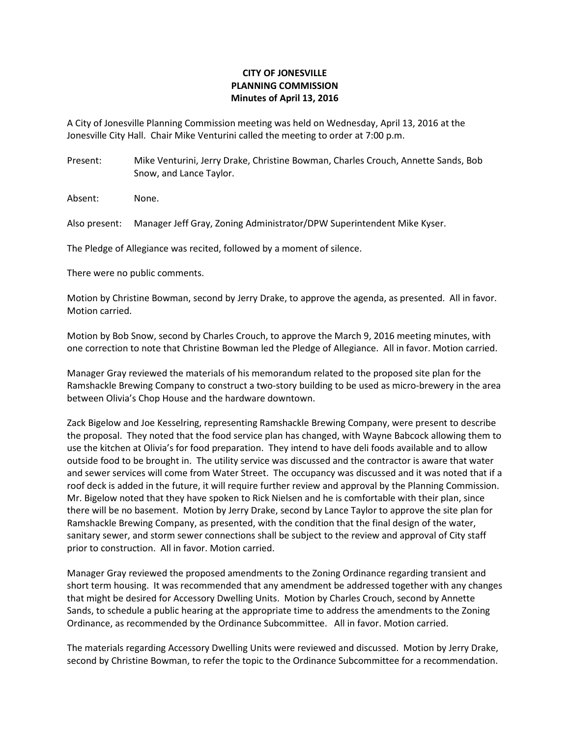## CITY OF JONESVILLE PLANNING COMMISSION Minutes of April 13, 2016

A City of Jonesville Planning Commission meeting was held on Wednesday, April 13, 2016 at the Jonesville City Hall. Chair Mike Venturini called the meeting to order at 7:00 p.m.

Present: Mike Venturini, Jerry Drake, Christine Bowman, Charles Crouch, Annette Sands, Bob Snow, and Lance Taylor.

Absent: None.

Also present: Manager Jeff Gray, Zoning Administrator/DPW Superintendent Mike Kyser.

The Pledge of Allegiance was recited, followed by a moment of silence.

There were no public comments.

Motion by Christine Bowman, second by Jerry Drake, to approve the agenda, as presented. All in favor. Motion carried.

Motion by Bob Snow, second by Charles Crouch, to approve the March 9, 2016 meeting minutes, with one correction to note that Christine Bowman led the Pledge of Allegiance. All in favor. Motion carried.

Manager Gray reviewed the materials of his memorandum related to the proposed site plan for the Ramshackle Brewing Company to construct a two-story building to be used as micro-brewery in the area between Olivia's Chop House and the hardware downtown.

Zack Bigelow and Joe Kesselring, representing Ramshackle Brewing Company, were present to describe the proposal. They noted that the food service plan has changed, with Wayne Babcock allowing them to use the kitchen at Olivia's for food preparation. They intend to have deli foods available and to allow outside food to be brought in. The utility service was discussed and the contractor is aware that water and sewer services will come from Water Street. The occupancy was discussed and it was noted that if a roof deck is added in the future, it will require further review and approval by the Planning Commission. Mr. Bigelow noted that they have spoken to Rick Nielsen and he is comfortable with their plan, since there will be no basement. Motion by Jerry Drake, second by Lance Taylor to approve the site plan for Ramshackle Brewing Company, as presented, with the condition that the final design of the water, sanitary sewer, and storm sewer connections shall be subject to the review and approval of City staff prior to construction. All in favor. Motion carried.

Manager Gray reviewed the proposed amendments to the Zoning Ordinance regarding transient and short term housing. It was recommended that any amendment be addressed together with any changes that might be desired for Accessory Dwelling Units. Motion by Charles Crouch, second by Annette Sands, to schedule a public hearing at the appropriate time to address the amendments to the Zoning Ordinance, as recommended by the Ordinance Subcommittee. All in favor. Motion carried.

The materials regarding Accessory Dwelling Units were reviewed and discussed. Motion by Jerry Drake, second by Christine Bowman, to refer the topic to the Ordinance Subcommittee for a recommendation.